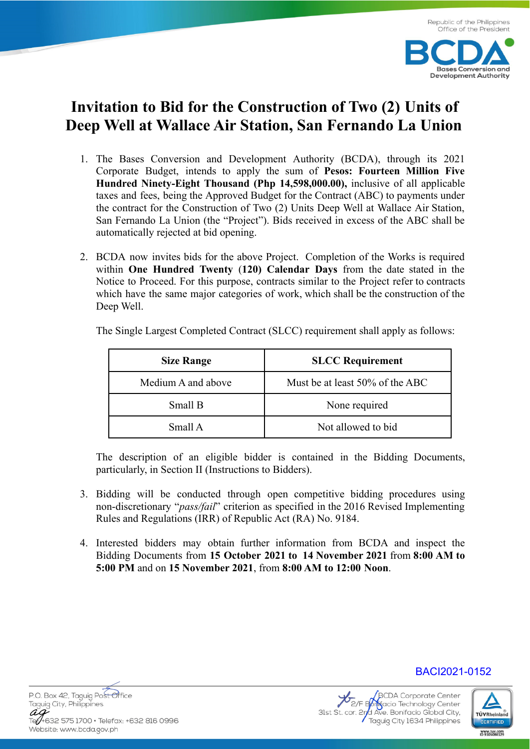**Bases Conversion and Development Authority** 



- 1. The Bases Conversion and Development Authority (BCDA), through its 2021 Corporate Budget, intends to apply the sum of **Pesos: Fourteen Million Five Hundred Ninety-Eight Thousand (Php 14,598,000.00),** inclusive of all applicable taxes and fees, being the Approved Budget for the Contract (ABC) to payments under the contract for the Construction of Two (2) Units Deep Well at Wallace Air Station, San Fernando La Union (the "Project"). Bids received in excess of the ABC shall be automatically rejected at bid opening.
- 2. BCDA now invites bids for the above Project. Completion of the Works is required within **One Hundred Twenty** (**120) Calendar Days** from the date stated in the Notice to Proceed. For this purpose, contracts similar to the Project refer to contracts which have the same major categories of work, which shall be the construction of the Deep Well.

| <b>Size Range</b>  | <b>SLCC Requirement</b>         |
|--------------------|---------------------------------|
| Medium A and above | Must be at least 50% of the ABC |
| Small B            | None required                   |
| Small A            | Not allowed to bid              |

The Single Largest Completed Contract (SLCC) requirement shall apply as follows:

The description of an eligible bidder is contained in the Bidding Documents, particularly, in Section II (Instructions to Bidders).

- 3. Bidding will be conducted through open competitive bidding procedures using non-discretionary "*pass/fail*" criterion as specified in the 2016 Revised Implementing Rules and Regulations (IRR) of Republic Act (RA) No. 9184.
- 4. Interested bidders may obtain further information from BCDA and inspect the Bidding Documents from **15 October 2021 to 14 November 2021** from **8:00 AM to 5:00 PM** and on **15 November 2021**, from **8:00 AM to 12:00 Noon**.







BACI2021-0152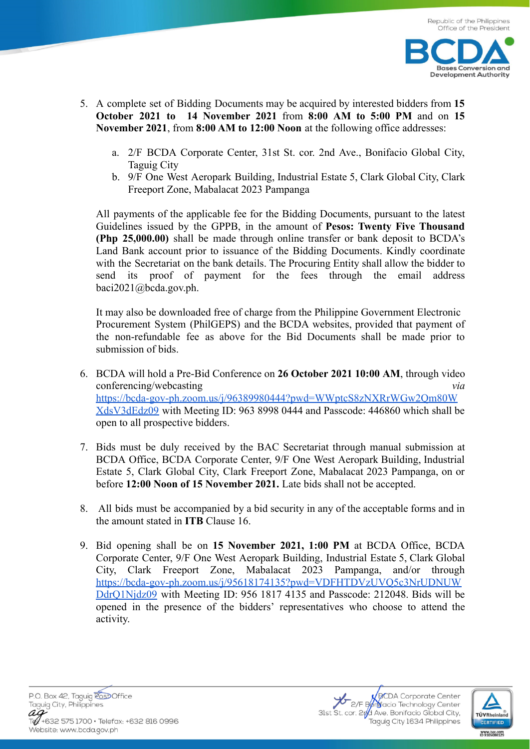

- 5. A complete set of Bidding Documents may be acquired by interested bidders from **15 October 2021 to 14 November 2021** from **8:00 AM to 5:00 PM** and on **15 November 2021**, from **8:00 AM to 12:00 Noon** at the following office addresses:
	- a. 2/F BCDA Corporate Center, 31st St. cor. 2nd Ave., Bonifacio Global City, Taguig City
	- b. 9/F One West Aeropark Building, Industrial Estate 5, Clark Global City, Clark Freeport Zone, Mabalacat 2023 Pampanga

All payments of the applicable fee for the Bidding Documents, pursuant to the latest Guidelines issued by the GPPB, in the amount of **Pesos: Twenty Five Thousand (Php 25,000.00)** shall be made through online transfer or bank deposit to BCDA's Land Bank account prior to issuance of the Bidding Documents. Kindly coordinate with the Secretariat on the bank details. The Procuring Entity shall allow the bidder to send its proof of payment for the fees through the email address baci2021@bcda.gov.ph.

It may also be downloaded free of charge from the Philippine Government Electronic Procurement System (PhilGEPS) and the BCDA websites, provided that payment of the non-refundable fee as above for the Bid Documents shall be made prior to submission of bids.

- 6. BCDA will hold a Pre-Bid Conference on **26 October 2021 10:00 AM**, through video conferencing/webcasting *via* https://bcda-gov-ph.zoom.us/j/96389980444?pwd=WWptcS8zNXRrWGw2Qm80W XdsV3dEdz09 with Meeting ID: 963 8998 0444 and Passcode: 446860 which shall be open to all prospective bidders.
- 7. Bids must be duly received by the BAC Secretariat through manual submission at BCDA Office, BCDA Corporate Center, 9/F One West Aeropark Building, Industrial Estate 5, Clark Global City, Clark Freeport Zone, Mabalacat 2023 Pampanga, on or before **12:00 Noon of 15 November 2021.** Late bids shall not be accepted.
- 8. All bids must be accompanied by a bid security in any of the acceptable forms and in the amount stated in **ITB** Clause 16.
- 9. Bid opening shall be on **15 November 2021, 1:00 PM** at BCDA Office, BCDA Corporate Center, 9/F One West Aeropark Building, Industrial Estate 5, Clark Global City, Clark Freeport Zone, Mabalacat 2023 Pampanga, and/or through https://bcda-gov-ph.zoom.us/j/95618174135?pwd=VDFHTDVzUVQ5c3NrUDNUW DdrQ1Njdz09 with Meeting ID: 956 1817 4135 and Passcode: 212048. Bids will be opened in the presence of the bidders' representatives who choose to attend the activity.